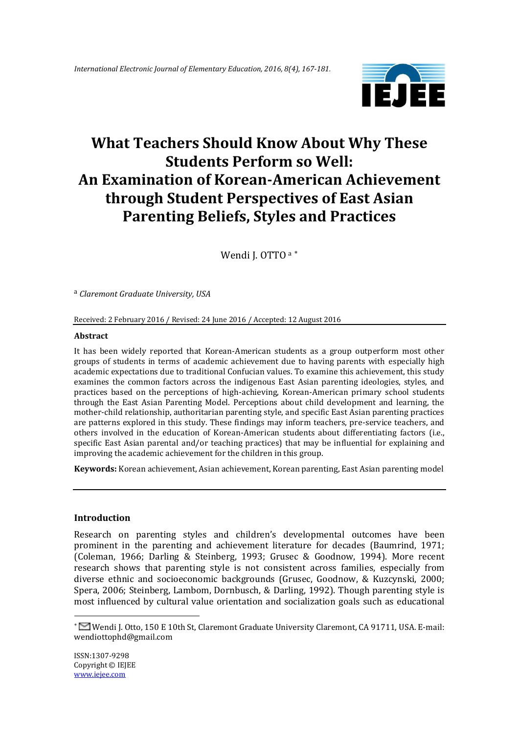

# **What Teachers Should Know About Why These Students Perform so Well: An Examination of Korean-American Achievement through Student Perspectives of East Asian Parenting Beliefs, Styles and Practices**

Wendi J. OTTO a \*

a *Claremont Graduate University, USA*

Received: 2 February 2016 / Revised: 24 June 2016 / Accepted: 12 August 2016

#### **Abstract**

It has been widely reported that Korean-American students as a group outperform most other groups of students in terms of academic achievement due to having parents with especially high academic expectations due to traditional Confucian values. To examine this achievement, this study examines the common factors across the indigenous East Asian parenting ideologies, styles, and practices based on the perceptions of high-achieving, Korean-American primary school students through the East Asian Parenting Model. Perceptions about child development and learning, the mother-child relationship, authoritarian parenting style, and specific East Asian parenting practices are patterns explored in this study. These findings may inform teachers, pre-service teachers, and others involved in the education of Korean-American students about differentiating factors (i.e., specific East Asian parental and/or teaching practices) that may be influential for explaining and improving the academic achievement for the children in this group.

**Keywords:** Korean achievement, Asian achievement, Korean parenting, East Asian parenting model

#### **Introduction**

Research on parenting styles and children's developmental outcomes have been prominent in the parenting and achievement literature for decades (Baumrind, 1971; (Coleman, 1966; Darling & Steinberg, 1993; Grusec & Goodnow, 1994). More recent research shows that parenting style is not consistent across families, especially from diverse ethnic and socioeconomic backgrounds (Grusec, Goodnow, & Kuzcynski, 2000; Spera, 2006; Steinberg, Lambom, Dornbusch, & Darling, 1992). Though parenting style is most influenced by cultural value orientation and socialization goals such as educational

1

Wendi J. Otto, 150 E 10th St, Claremont Graduate University Claremont, CA 91711, USA. E-mail: wendiottophd@gmail.com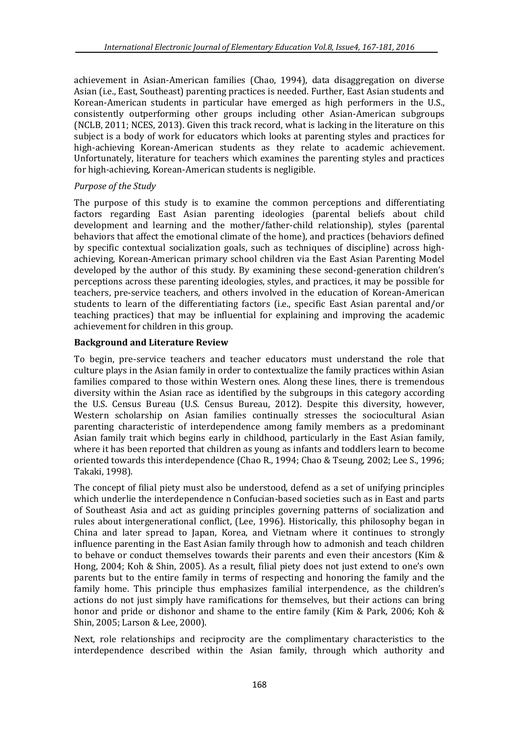achievement in Asian-American families (Chao, 1994), data disaggregation on diverse Asian (i.e., East, Southeast) parenting practices is needed. Further, East Asian students and Korean-American students in particular have emerged as high performers in the U.S., consistently outperforming other groups including other Asian-American subgroups (NCLB, 2011; NCES, 2013). Given this track record, what is lacking in the literature on this subject is a body of work for educators which looks at parenting styles and practices for high-achieving Korean-American students as they relate to academic achievement. Unfortunately, literature for teachers which examines the parenting styles and practices for high-achieving, Korean-American students is negligible.

# *Purpose of the Study*

The purpose of this study is to examine the common perceptions and differentiating factors regarding East Asian parenting ideologies (parental beliefs about child development and learning and the mother/father-child relationship), styles (parental behaviors that affect the emotional climate of the home), and practices (behaviors defined by specific contextual socialization goals, such as techniques of discipline) across highachieving, Korean-American primary school children via the East Asian Parenting Model developed by the author of this study. By examining these second-generation children's perceptions across these parenting ideologies, styles, and practices, it may be possible for teachers, pre-service teachers, and others involved in the education of Korean-American students to learn of the differentiating factors (i.e., specific East Asian parental and/or teaching practices) that may be influential for explaining and improving the academic achievement for children in this group.

# **Background and Literature Review**

To begin, pre-service teachers and teacher educators must understand the role that culture plays in the Asian family in order to contextualize the family practices within Asian families compared to those within Western ones. Along these lines, there is tremendous diversity within the Asian race as identified by the subgroups in this category according the U.S. Census Bureau (U.S. Census Bureau, 2012). Despite this diversity, however, Western scholarship on Asian families continually stresses the sociocultural Asian parenting characteristic of interdependence among family members as a predominant Asian family trait which begins early in childhood, particularly in the East Asian family, where it has been reported that children as young as infants and toddlers learn to become oriented towards this interdependence (Chao R., 1994; Chao & Tseung, 2002; Lee S., 1996; Takaki, 1998).

The concept of filial piety must also be understood, defend as a set of unifying principles which underlie the interdependence n Confucian-based societies such as in East and parts of Southeast Asia and act as guiding principles governing patterns of socialization and rules about intergenerational conflict, (Lee, 1996). Historically, this philosophy began in China and later spread to Japan, Korea, and Vietnam where it continues to strongly influence parenting in the East Asian family through how to admonish and teach children to behave or conduct themselves towards their parents and even their ancestors (Kim & Hong, 2004; Koh & Shin, 2005). As a result, filial piety does not just extend to one's own parents but to the entire family in terms of respecting and honoring the family and the family home. This principle thus emphasizes familial interpendence, as the children's actions do not just simply have ramifications for themselves, but their actions can bring honor and pride or dishonor and shame to the entire family (Kim & Park, 2006; Koh & Shin, 2005; Larson & Lee, 2000).

Next, role relationships and reciprocity are the complimentary characteristics to the interdependence described within the Asian family, through which authority and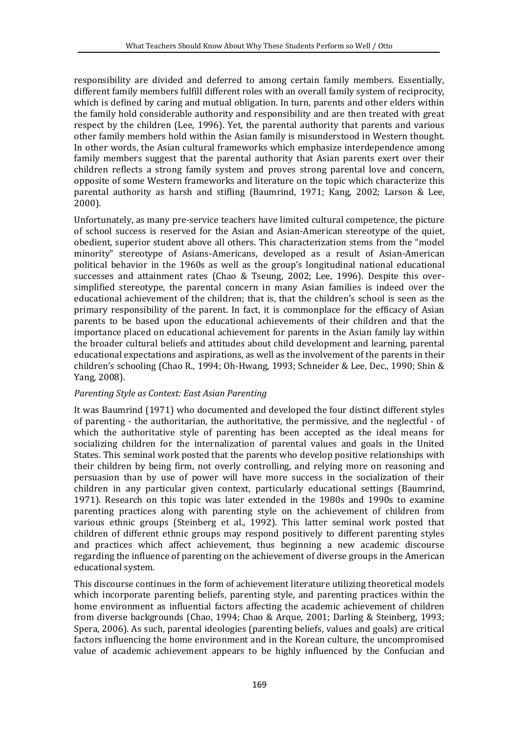responsibility are divided and deferred to among certain family members. Essentially, different family members fulfill different roles with an overall family system of reciprocity, which is defined by caring and mutual obligation. In turn, parents and other elders within the family hold considerable authority and responsibility and are then treated with great respect by the children (Lee, 1996). Yet, the parental authority that parents and various other family members hold within the Asian family is misunderstood in Western thought. In other words, the Asian cultural frameworks which emphasize interdependence among family members suggest that the parental authority that Asian parents exert over their children reflects a strong family system and proves strong parental love and concern, opposite of some Western frameworks and literature on the topic which characterize this parental authority as harsh and stifling (Baumrind, 1971; Kang, 2002; Larson & Lee, 2000).

Unfortunately, as many pre-service teachers have limited cultural competence, the picture of school success is reserved for the Asian and Asian-American stereotype of the quiet, obedient, superior student above all others. This characterization stems from the "model minority" stereotype of Asians-Americans, developed as a result of Asian-American political behavior in the 1960s as well as the group's longitudinal national educational successes and attainment rates (Chao & Tseung, 2002; Lee, 1996). Despite this oversimplified stereotype, the parental concern in many Asian families is indeed over the educational achievement of the children; that is, that the children's school is seen as the primary responsibility of the parent. In fact, it is commonplace for the efficacy of Asian parents to be based upon the educational achievements of their children and that the importance placed on educational achievement for parents in the Asian family lay within the broader cultural beliefs and attitudes about child development and learning, parental educational expectations and aspirations, as well as the involvement of the parents in their children's schooling (Chao R., 1994; Oh-Hwang, 1993; Schneider & Lee, Dec., 1990; Shin & Yang, 2008).

#### *Parenting Style as Context: East Asian Parenting*

It was Baumrind (1971) who documented and developed the four distinct different styles of parenting - the authoritarian, the authoritative, the permissive, and the neglectful - of which the authoritative style of parenting has been accepted as the ideal means for socializing children for the internalization of parental values and goals in the United States. This seminal work posted that the parents who develop positive relationships with their children by being firm, not overly controlling, and relying more on reasoning and persuasion than by use of power will have more success in the socialization of their children in any particular given context, particularly educational settings (Baumrind, 1971). Research on this topic was later extended in the 1980s and 1990s to examine parenting practices along with parenting style on the achievement of children from various ethnic groups (Steinberg et al., 1992). This latter seminal work posted that children of different ethnic groups may respond positively to different parenting styles and practices which affect achievement, thus beginning a new academic discourse regarding the influence of parenting on the achievement of diverse groups in the American educational system.

This discourse continues in the form of achievement literature utilizing theoretical models which incorporate parenting beliefs, parenting style, and parenting practices within the home environment as influential factors affecting the academic achievement of children from diverse backgrounds (Chao, 1994; Chao & Arque, 2001; Darling & Steinberg, 1993; Spera, 2006). As such, parental ideologies (parenting beliefs, values and goals) are critical factors influencing the home environment and in the Korean culture, the uncompromised value of academic achievement appears to be highly influenced by the Confucian and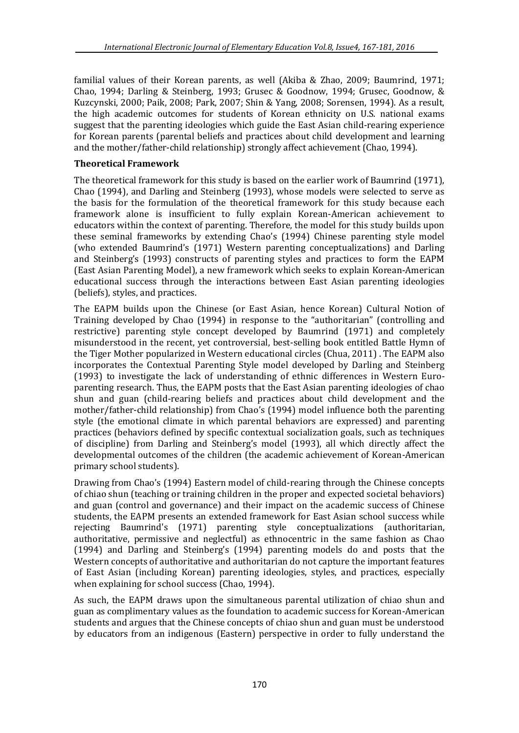familial values of their Korean parents, as well (Akiba & Zhao, 2009; Baumrind, 1971; Chao, 1994; Darling & Steinberg, 1993; Grusec & Goodnow, 1994; Grusec, Goodnow, & Kuzcynski, 2000; Paik, 2008; Park, 2007; Shin & Yang, 2008; Sorensen, 1994). As a result, the high academic outcomes for students of Korean ethnicity on U.S. national exams suggest that the parenting ideologies which guide the East Asian child-rearing experience for Korean parents (parental beliefs and practices about child development and learning and the mother/father-child relationship) strongly affect achievement (Chao, 1994).

# **Theoretical Framework**

The theoretical framework for this study is based on the earlier work of Baumrind (1971), Chao (1994), and Darling and Steinberg (1993), whose models were selected to serve as the basis for the formulation of the theoretical framework for this study because each framework alone is insufficient to fully explain Korean-American achievement to educators within the context of parenting. Therefore, the model for this study builds upon these seminal frameworks by extending Chao's (1994) Chinese parenting style model (who extended Baumrind's (1971) Western parenting conceptualizations) and Darling and Steinberg's (1993) constructs of parenting styles and practices to form the EAPM (East Asian Parenting Model), a new framework which seeks to explain Korean-American educational success through the interactions between East Asian parenting ideologies (beliefs), styles, and practices.

The EAPM builds upon the Chinese (or East Asian, hence Korean) Cultural Notion of Training developed by Chao (1994) in response to the "authoritarian" (controlling and restrictive) parenting style concept developed by Baumrind (1971) and completely misunderstood in the recent, yet controversial, best-selling book entitled Battle Hymn of the Tiger Mother popularized in Western educational circles (Chua, 2011) . The EAPM also incorporates the Contextual Parenting Style model developed by Darling and Steinberg (1993) to investigate the lack of understanding of ethnic differences in Western Europarenting research. Thus, the EAPM posts that the East Asian parenting ideologies of chao shun and guan (child-rearing beliefs and practices about child development and the mother/father-child relationship) from Chao's (1994) model influence both the parenting style (the emotional climate in which parental behaviors are expressed) and parenting practices (behaviors defined by specific contextual socialization goals, such as techniques of discipline) from Darling and Steinberg's model (1993), all which directly affect the developmental outcomes of the children (the academic achievement of Korean-American primary school students).

Drawing from Chao's (1994) Eastern model of child-rearing through the Chinese concepts of chiao shun (teaching or training children in the proper and expected societal behaviors) and guan (control and governance) and their impact on the academic success of Chinese students, the EAPM presents an extended framework for East Asian school success while rejecting Baumrind's (1971) parenting style conceptualizations (authoritarian, authoritative, permissive and neglectful) as ethnocentric in the same fashion as Chao (1994) and Darling and Steinberg's (1994) parenting models do and posts that the Western concepts of authoritative and authoritarian do not capture the important features of East Asian (including Korean) parenting ideologies, styles, and practices, especially when explaining for school success (Chao, 1994).

As such, the EAPM draws upon the simultaneous parental utilization of chiao shun and guan as complimentary values as the foundation to academic success for Korean-American students and argues that the Chinese concepts of chiao shun and guan must be understood by educators from an indigenous (Eastern) perspective in order to fully understand the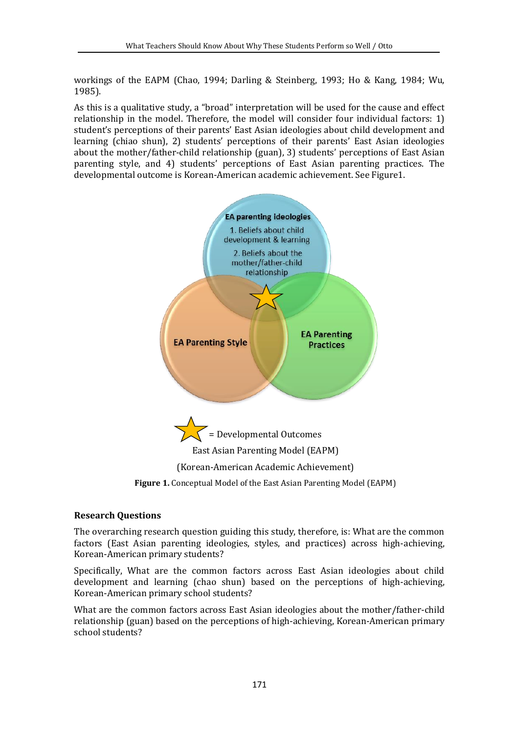workings of the EAPM (Chao, 1994; Darling & Steinberg, 1993; Ho & Kang, 1984; Wu, 1985).

As this is a qualitative study, a "broad" interpretation will be used for the cause and effect relationship in the model. Therefore, the model will consider four individual factors: 1) student's perceptions of their parents' East Asian ideologies about child development and learning (chiao shun), 2) students' perceptions of their parents' East Asian ideologies about the mother/father-child relationship (guan), 3) students' perceptions of East Asian parenting style, and 4) students' perceptions of East Asian parenting practices. The developmental outcome is Korean-American academic achievement. See Figure1.



#### **Research Questions**

The overarching research question guiding this study, therefore, is: What are the common factors (East Asian parenting ideologies, styles, and practices) across high-achieving, Korean-American primary students?

Specifically, What are the common factors across East Asian ideologies about child development and learning (chao shun) based on the perceptions of high-achieving, Korean-American primary school students?

What are the common factors across East Asian ideologies about the mother/father-child relationship (guan) based on the perceptions of high-achieving, Korean-American primary school students?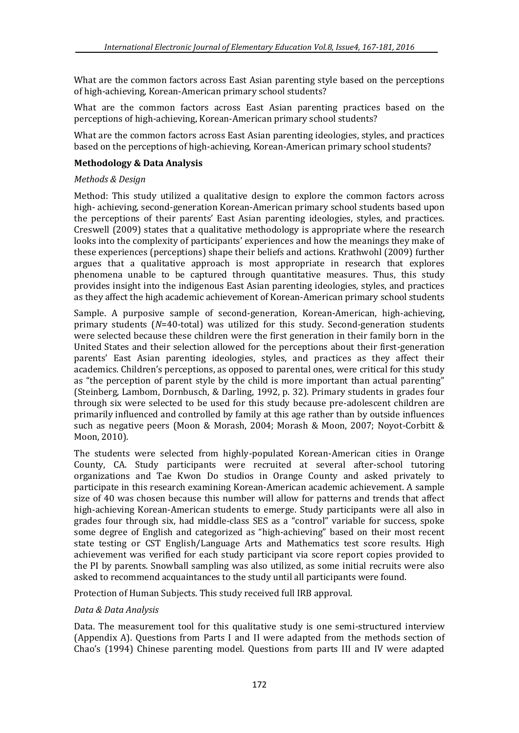What are the common factors across East Asian parenting style based on the perceptions of high-achieving, Korean-American primary school students?

What are the common factors across East Asian parenting practices based on the perceptions of high-achieving, Korean-American primary school students?

What are the common factors across East Asian parenting ideologies, styles, and practices based on the perceptions of high-achieving, Korean-American primary school students?

#### **Methodology & Data Analysis**

#### *Methods & Design*

Method: This study utilized a qualitative design to explore the common factors across high- achieving, second-generation Korean-American primary school students based upon the perceptions of their parents' East Asian parenting ideologies, styles, and practices. Creswell (2009) states that a qualitative methodology is appropriate where the research looks into the complexity of participants' experiences and how the meanings they make of these experiences (perceptions) shape their beliefs and actions. Krathwohl (2009) further argues that a qualitative approach is most appropriate in research that explores phenomena unable to be captured through quantitative measures. Thus, this study provides insight into the indigenous East Asian parenting ideologies, styles, and practices as they affect the high academic achievement of Korean-American primary school students

Sample. A purposive sample of second-generation, Korean-American, high-achieving, primary students (*N*=40-total) was utilized for this study. Second-generation students were selected because these children were the first generation in their family born in the United States and their selection allowed for the perceptions about their first-generation parents' East Asian parenting ideologies, styles, and practices as they affect their academics. Children's perceptions, as opposed to parental ones, were critical for this study as "the perception of parent style by the child is more important than actual parenting" (Steinberg, Lambom, Dornbusch, & Darling, 1992, p. 32). Primary students in grades four through six were selected to be used for this study because pre-adolescent children are primarily influenced and controlled by family at this age rather than by outside influences such as negative peers (Moon & Morash, 2004; Morash & Moon, 2007; Noyot-Corbitt & Moon, 2010).

The students were selected from highly-populated Korean-American cities in Orange County, CA. Study participants were recruited at several after-school tutoring organizations and Tae Kwon Do studios in Orange County and asked privately to participate in this research examining Korean-American academic achievement. A sample size of 40 was chosen because this number will allow for patterns and trends that affect high-achieving Korean-American students to emerge. Study participants were all also in grades four through six, had middle-class SES as a "control" variable for success, spoke some degree of English and categorized as "high-achieving" based on their most recent state testing or CST English/Language Arts and Mathematics test score results. High achievement was verified for each study participant via score report copies provided to the PI by parents. Snowball sampling was also utilized, as some initial recruits were also asked to recommend acquaintances to the study until all participants were found.

Protection of Human Subjects. This study received full IRB approval.

#### *Data & Data Analysis*

Data. The measurement tool for this qualitative study is one semi-structured interview (Appendix A). Questions from Parts I and II were adapted from the methods section of Chao's (1994) Chinese parenting model. Questions from parts III and IV were adapted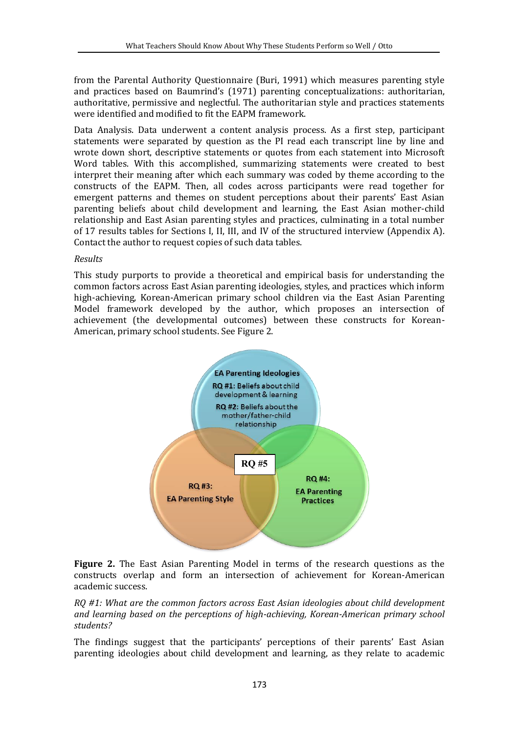from the Parental Authority Questionnaire (Buri, 1991) which measures parenting style and practices based on Baumrind's (1971) parenting conceptualizations: authoritarian, authoritative, permissive and neglectful. The authoritarian style and practices statements were identified and modified to fit the EAPM framework.

Data Analysis. Data underwent a content analysis process. As a first step, participant statements were separated by question as the PI read each transcript line by line and wrote down short, descriptive statements or quotes from each statement into Microsoft Word tables. With this accomplished, summarizing statements were created to best interpret their meaning after which each summary was coded by theme according to the constructs of the EAPM. Then, all codes across participants were read together for emergent patterns and themes on student perceptions about their parents' East Asian parenting beliefs about child development and learning, the East Asian mother-child relationship and East Asian parenting styles and practices, culminating in a total number of 17 results tables for Sections I, II, III, and IV of the structured interview (Appendix A). Contact the author to request copies of such data tables.

#### *Results*

This study purports to provide a theoretical and empirical basis for understanding the common factors across East Asian parenting ideologies, styles, and practices which inform high-achieving, Korean-American primary school children via the East Asian Parenting Model framework developed by the author, which proposes an intersection of achievement (the developmental outcomes) between these constructs for Korean-American, primary school students. See Figure 2.



**Figure 2.** The East Asian Parenting Model in terms of the research questions as the constructs overlap and form an intersection of achievement for Korean-American academic success.

*RQ #1: What are the common factors across East Asian ideologies about child development and learning based on the perceptions of high-achieving, Korean-American primary school students?* 

The findings suggest that the participants' perceptions of their parents' East Asian parenting ideologies about child development and learning, as they relate to academic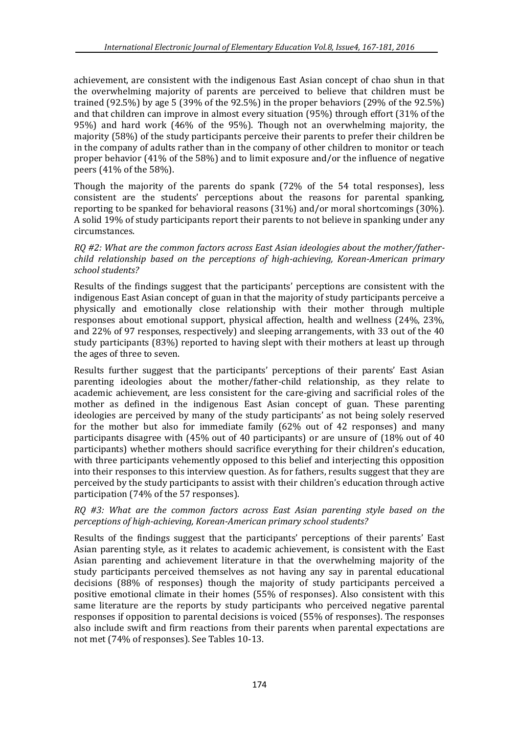achievement, are consistent with the indigenous East Asian concept of chao shun in that the overwhelming majority of parents are perceived to believe that children must be trained (92.5%) by age 5 (39% of the 92.5%) in the proper behaviors (29% of the 92.5%) and that children can improve in almost every situation (95%) through effort (31% of the 95%) and hard work (46% of the 95%). Though not an overwhelming majority, the majority (58%) of the study participants perceive their parents to prefer their children be in the company of adults rather than in the company of other children to monitor or teach proper behavior (41% of the 58%) and to limit exposure and/or the influence of negative peers (41% of the 58%).

Though the majority of the parents do spank (72% of the 54 total responses), less consistent are the students' perceptions about the reasons for parental spanking, reporting to be spanked for behavioral reasons (31%) and/or moral shortcomings (30%). A solid 19% of study participants report their parents to not believe in spanking under any circumstances.

#### *RQ #2: What are the common factors across East Asian ideologies about the mother/fatherchild relationship based on the perceptions of high-achieving, Korean-American primary school students?*

Results of the findings suggest that the participants' perceptions are consistent with the indigenous East Asian concept of guan in that the majority of study participants perceive a physically and emotionally close relationship with their mother through multiple responses about emotional support, physical affection, health and wellness (24%, 23%, and 22% of 97 responses, respectively) and sleeping arrangements, with 33 out of the 40 study participants (83%) reported to having slept with their mothers at least up through the ages of three to seven.

Results further suggest that the participants' perceptions of their parents' East Asian parenting ideologies about the mother/father-child relationship, as they relate to academic achievement, are less consistent for the care-giving and sacrificial roles of the mother as defined in the indigenous East Asian concept of guan. These parenting ideologies are perceived by many of the study participants' as not being solely reserved for the mother but also for immediate family (62% out of 42 responses) and many participants disagree with (45% out of 40 participants) or are unsure of (18% out of 40 participants) whether mothers should sacrifice everything for their children's education, with three participants vehemently opposed to this belief and interjecting this opposition into their responses to this interview question. As for fathers, results suggest that they are perceived by the study participants to assist with their children's education through active participation (74% of the 57 responses).

#### *RQ #3: What are the common factors across East Asian parenting style based on the perceptions of high-achieving, Korean-American primary school students?*

Results of the findings suggest that the participants' perceptions of their parents' East Asian parenting style, as it relates to academic achievement, is consistent with the East Asian parenting and achievement literature in that the overwhelming majority of the study participants perceived themselves as not having any say in parental educational decisions (88% of responses) though the majority of study participants perceived a positive emotional climate in their homes (55% of responses). Also consistent with this same literature are the reports by study participants who perceived negative parental responses if opposition to parental decisions is voiced (55% of responses). The responses also include swift and firm reactions from their parents when parental expectations are not met (74% of responses). See Tables 10-13.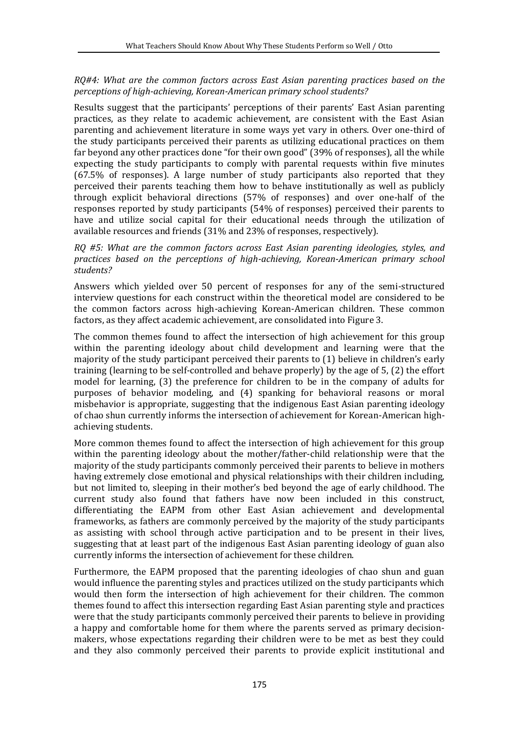# *RQ#4: What are the common factors across East Asian parenting practices based on the perceptions of high-achieving, Korean-American primary school students?*

Results suggest that the participants' perceptions of their parents' East Asian parenting practices, as they relate to academic achievement, are consistent with the East Asian parenting and achievement literature in some ways yet vary in others. Over one-third of the study participants perceived their parents as utilizing educational practices on them far beyond any other practices done "for their own good" (39% of responses), all the while expecting the study participants to comply with parental requests within five minutes (67.5% of responses). A large number of study participants also reported that they perceived their parents teaching them how to behave institutionally as well as publicly through explicit behavioral directions (57% of responses) and over one-half of the responses reported by study participants (54% of responses) perceived their parents to have and utilize social capital for their educational needs through the utilization of available resources and friends (31% and 23% of responses, respectively).

#### *RQ #5: What are the common factors across East Asian parenting ideologies, styles, and practices based on the perceptions of high-achieving, Korean-American primary school students?*

Answers which yielded over 50 percent of responses for any of the semi-structured interview questions for each construct within the theoretical model are considered to be the common factors across high-achieving Korean-American children. These common factors, as they affect academic achievement, are consolidated into Figure 3.

The common themes found to affect the intersection of high achievement for this group within the parenting ideology about child development and learning were that the majority of the study participant perceived their parents to (1) believe in children's early training (learning to be self-controlled and behave properly) by the age of 5, (2) the effort model for learning, (3) the preference for children to be in the company of adults for purposes of behavior modeling, and (4) spanking for behavioral reasons or moral misbehavior is appropriate, suggesting that the indigenous East Asian parenting ideology of chao shun currently informs the intersection of achievement for Korean-American highachieving students.

More common themes found to affect the intersection of high achievement for this group within the parenting ideology about the mother/father-child relationship were that the majority of the study participants commonly perceived their parents to believe in mothers having extremely close emotional and physical relationships with their children including, but not limited to, sleeping in their mother's bed beyond the age of early childhood. The current study also found that fathers have now been included in this construct, differentiating the EAPM from other East Asian achievement and developmental frameworks, as fathers are commonly perceived by the majority of the study participants as assisting with school through active participation and to be present in their lives, suggesting that at least part of the indigenous East Asian parenting ideology of guan also currently informs the intersection of achievement for these children.

Furthermore, the EAPM proposed that the parenting ideologies of chao shun and guan would influence the parenting styles and practices utilized on the study participants which would then form the intersection of high achievement for their children. The common themes found to affect this intersection regarding East Asian parenting style and practices were that the study participants commonly perceived their parents to believe in providing a happy and comfortable home for them where the parents served as primary decisionmakers, whose expectations regarding their children were to be met as best they could and they also commonly perceived their parents to provide explicit institutional and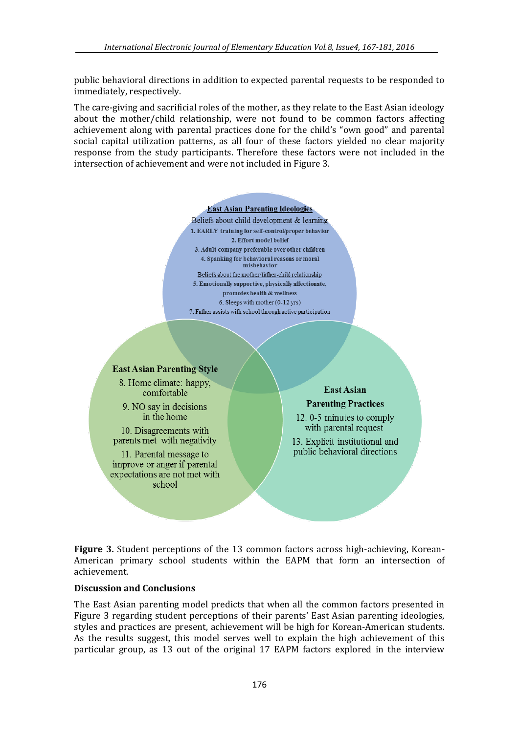public behavioral directions in addition to expected parental requests to be responded to immediately, respectively.

The care-giving and sacrificial roles of the mother, as they relate to the East Asian ideology about the mother/child relationship, were not found to be common factors affecting achievement along with parental practices done for the child's "own good" and parental social capital utilization patterns, as all four of these factors yielded no clear majority response from the study participants. Therefore these factors were not included in the intersection of achievement and were not included in Figure 3.

#### **East Asian Parenting Ideologies**

Beliefs about child development & learning 1. EARLY training for self-control/proper behavior 2. Effort model belief 3. Adult company preferable over other children 4. Spanking for behavioral reasons or moral misbehavior Beliefs about the mother/father-child relationship 5. Emotionally supportive, physically affectionate, promotes health & wellness 6. Sleeps with mother (0-12 yrs) 7. Father assists with school through active participation

#### **East Asian Parenting Style**

8. Home climate: happy, comfortable

9. NO say in decisions in the home

10. Disagreements with parents met with negativity

11. Parental message to improve or anger if parental expectations are not met with school

# **East Asian Parenting Practices**

12.0-5 minutes to comply with parental request

13. Explicit institutional and public behavioral directions

**Figure 3.** Student perceptions of the 13 common factors across high-achieving, Korean-American primary school students within the EAPM that form an intersection of achievement.

#### **Discussion and Conclusions**

The East Asian parenting model predicts that when all the common factors presented in Figure 3 regarding student perceptions of their parents' East Asian parenting ideologies, styles and practices are present, achievement will be high for Korean-American students. As the results suggest, this model serves well to explain the high achievement of this particular group, as 13 out of the original 17 EAPM factors explored in the interview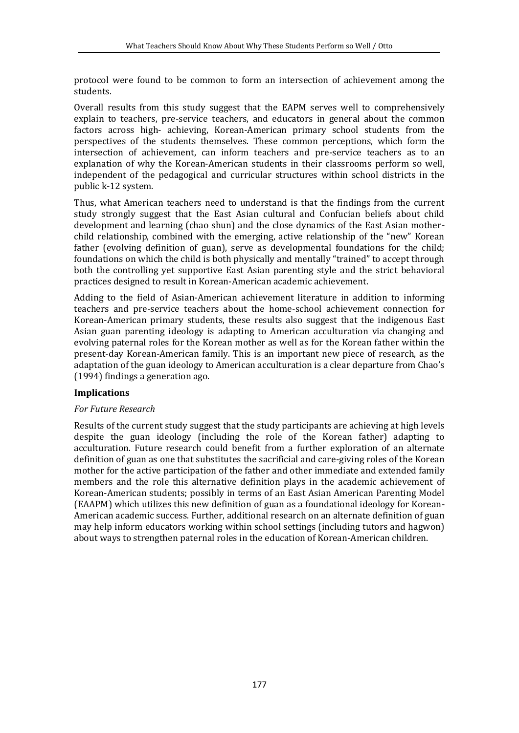protocol were found to be common to form an intersection of achievement among the students.

Overall results from this study suggest that the EAPM serves well to comprehensively explain to teachers, pre-service teachers, and educators in general about the common factors across high- achieving, Korean-American primary school students from the perspectives of the students themselves. These common perceptions, which form the intersection of achievement, can inform teachers and pre-service teachers as to an explanation of why the Korean-American students in their classrooms perform so well, independent of the pedagogical and curricular structures within school districts in the public k-12 system.

Thus, what American teachers need to understand is that the findings from the current study strongly suggest that the East Asian cultural and Confucian beliefs about child development and learning (chao shun) and the close dynamics of the East Asian motherchild relationship, combined with the emerging, active relationship of the "new" Korean father (evolving definition of guan), serve as developmental foundations for the child; foundations on which the child is both physically and mentally "trained" to accept through both the controlling yet supportive East Asian parenting style and the strict behavioral practices designed to result in Korean-American academic achievement.

Adding to the field of Asian-American achievement literature in addition to informing teachers and pre-service teachers about the home-school achievement connection for Korean-American primary students, these results also suggest that the indigenous East Asian guan parenting ideology is adapting to American acculturation via changing and evolving paternal roles for the Korean mother as well as for the Korean father within the present-day Korean-American family. This is an important new piece of research, as the adaptation of the guan ideology to American acculturation is a clear departure from Chao's (1994) findings a generation ago.

#### **Implications**

#### *For Future Research*

Results of the current study suggest that the study participants are achieving at high levels despite the guan ideology (including the role of the Korean father) adapting to acculturation. Future research could benefit from a further exploration of an alternate definition of guan as one that substitutes the sacrificial and care-giving roles of the Korean mother for the active participation of the father and other immediate and extended family members and the role this alternative definition plays in the academic achievement of Korean-American students; possibly in terms of an East Asian American Parenting Model (EAAPM) which utilizes this new definition of guan as a foundational ideology for Korean-American academic success. Further, additional research on an alternate definition of guan may help inform educators working within school settings (including tutors and hagwon) about ways to strengthen paternal roles in the education of Korean-American children.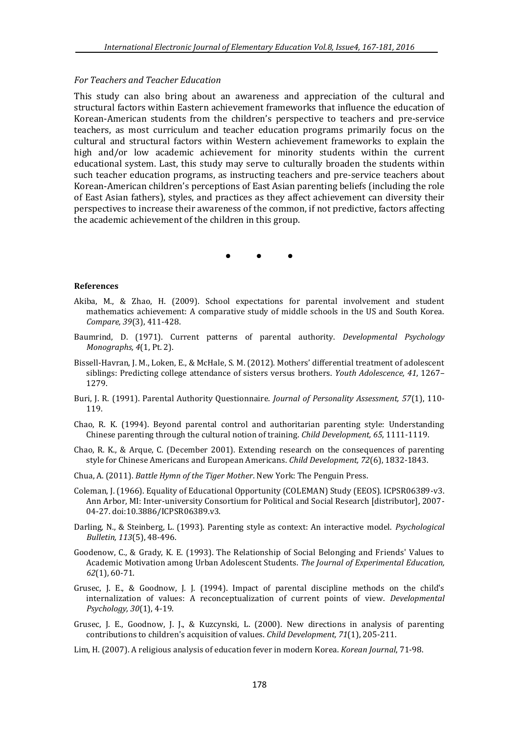#### *For Teachers and Teacher Education*

This study can also bring about an awareness and appreciation of the cultural and structural factors within Eastern achievement frameworks that influence the education of Korean-American students from the children's perspective to teachers and pre-service teachers, as most curriculum and teacher education programs primarily focus on the cultural and structural factors within Western achievement frameworks to explain the high and/or low academic achievement for minority students within the current educational system. Last, this study may serve to culturally broaden the students within such teacher education programs, as instructing teachers and pre-service teachers about Korean-American children's perceptions of East Asian parenting beliefs (including the role of East Asian fathers), styles, and practices as they affect achievement can diversity their perspectives to increase their awareness of the common, if not predictive, factors affecting the academic achievement of the children in this group.

• • •

#### **References**

- Akiba, M., & Zhao, H. (2009). School expectations for parental involvement and student mathematics achievement: A comparative study of middle schools in the US and South Korea. *Compare, 39*(3), 411-428.
- Baumrind, D. (1971). Current patterns of parental authority. *Developmental Psychology Monographs, 4*(1, Pt. 2).
- Bissell-Havran, J. M., Loken, E., & McHale, S. M. (2012). Mothers' differential treatment of adolescent siblings: Predicting college attendance of sisters versus brothers. *Youth Adolescence, 41*, 1267– 1279.
- Buri, J. R. (1991). Parental Authority Questionnaire. *Journal of Personality Assessment, 57*(1), 110- 119.
- Chao, R. K. (1994). Beyond parental control and authoritarian parenting style: Understanding Chinese parenting through the cultural notion of training. *Child Development, 65*, 1111-1119.
- Chao, R. K., & Arque, C. (December 2001). Extending research on the consequences of parenting style for Chinese Americans and European Americans. *Child Development, 72*(6), 1832-1843.
- Chua, A. (2011). *Battle Hymn of the Tiger Mother*. New York: The Penguin Press.
- Coleman, J. (1966). Equality of Educational Opportunity (COLEMAN) Study (EEOS). ICPSR06389-v3. Ann Arbor, MI: Inter-university Consortium for Political and Social Research [distributor], 2007- 04-27. doi:10.3886/ICPSR06389.v3.
- Darling, N., & Steinberg, L. (1993). Parenting style as context: An interactive model. *Psychological Bulletin, 113*(5), 48-496.
- Goodenow, C., & Grady, K. E. (1993). The Relationship of Social Belonging and Friends' Values to Academic Motivation among Urban Adolescent Students. *The Journal of Experimental Education, 62*(1), 60-71.
- Grusec, J. E., & Goodnow, J. J. (1994). Impact of parental discipline methods on the child's internalization of values: A reconceptualization of current points of view. *Developmental Psychology, 30*(1), 4-19.
- Grusec, J. E., Goodnow, J. J., & Kuzcynski, L. (2000). New directions in analysis of parenting contributions to children's acquisition of values. *Child Development, 71*(1), 205-211.
- Lim, H. (2007). A religious analysis of education fever in modern Korea. *Korean Journal*, 71-98.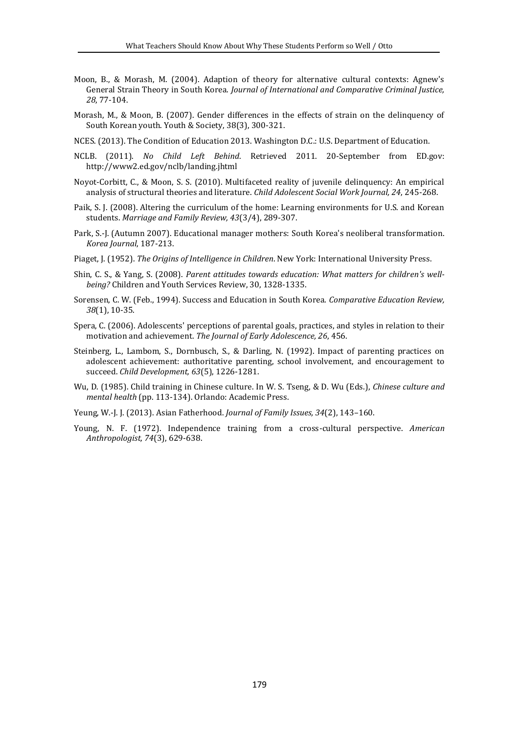- Moon, B., & Morash, M. (2004). Adaption of theory for alternative cultural contexts: Agnew's General Strain Theory in South Korea. *Journal of International and Comparative Criminal Justice, 28*, 77-104.
- Morash, M., & Moon, B. (2007). Gender differences in the effects of strain on the delinquency of South Korean youth. Youth & Society, 38(3), 300-321.
- NCES. (2013). The Condition of Education 2013. Washington D.C.: U.S. Department of Education.
- NCLB. (2011). *No Child Left Behind*. Retrieved 2011. 20-September from ED.gov: http://www2.ed.gov/nclb/landing.jhtml
- Noyot-Corbitt, C., & Moon, S. S. (2010). Multifaceted reality of juvenile delinquency: An empirical analysis of structural theories and literature. *Child Adolescent Social Work Journal, 24*, 245-268.
- Paik, S. J. (2008). Altering the curriculum of the home: Learning environments for U.S. and Korean students. *Marriage and Family Review, 43*(3/4), 289-307.
- Park, S.-J. (Autumn 2007). Educational manager mothers: South Korea's neoliberal transformation. *Korea Journal*, 187-213.
- Piaget, J. (1952). *The Origins of Intelligence in Children*. New York: International University Press.
- Shin, C. S., & Yang, S. (2008). *Parent attitudes towards education: What matters for children's wellbeing?* Children and Youth Services Review, 30, 1328-1335.
- Sorensen, C. W. (Feb., 1994). Success and Education in South Korea. *Comparative Education Review, 38*(1), 10-35.
- Spera, C. (2006). Adolescents' perceptions of parental goals, practices, and styles in relation to their motivation and achievement. *The Journal of Early Adolescence, 26*, 456.
- Steinberg, L., Lambom, S., Dornbusch, S., & Darling, N. (1992). Impact of parenting practices on adolescent achievement: authoritative parenting, school involvement, and encouragement to succeed. *Child Development, 63*(5), 1226-1281.
- Wu, D. (1985). Child training in Chinese culture. In W. S. Tseng, & D. Wu (Eds.), *Chinese culture and mental health* (pp. 113-134). Orlando: Academic Press.
- Yeung, W.-J. J. (2013). Asian Fatherhood. *Journal of Family Issues, 34*(2), 143–160.
- Young, N. F. (1972). Independence training from a cross-cultural perspective. *American Anthropologist, 74*(3), 629-638.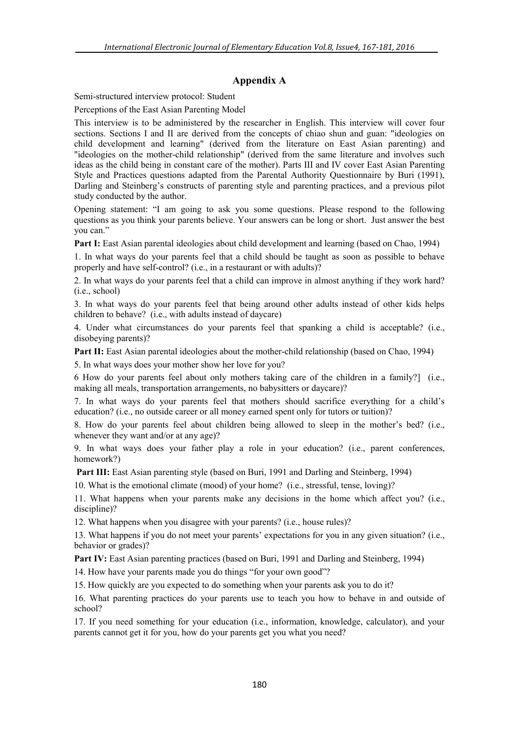# **Appendix A**

Semi-structured interview protocol: Student

Perceptions of the East Asian Parenting Model

This interview is to be administered by the researcher in English. This interview will cover four sections. Sections I and II are derived from the concepts of chiao shun and guan: "ideologies on child development and learning" (derived from the literature on East Asian parenting) and "ideologies on the mother-child relationship" (derived from the same literature and involves such ideas as the child being in constant care of the mother). Parts III and IV cover East Asian Parenting Style and Practices questions adapted from the Parental Authority Questionnaire by Buri (1991), Darling and Steinberg's constructs of parenting style and parenting practices, and a previous pilot study conducted by the author.

Opening statement: "I am going to ask you some questions. Please respond to the following questions as you think your parents believe. Your answers can be long or short. Just answer the best you can."

**Part I:** East Asian parental ideologies about child development and learning (based on Chao, 1994)

1. In what ways do your parents feel that a child should be taught as soon as possible to behave properly and have self-control? (i.e., in a restaurant or with adults)?

2. In what ways do your parents feel that a child can improve in almost anything if they work hard? (i.e., school)

3. In what ways do your parents feel that being around other adults instead of other kids helps children to behave? (i.e., with adults instead of daycare)

4. Under what circumstances do your parents feel that spanking a child is acceptable? (i.e., disobeying parents)?

**Part II:** East Asian parental ideologies about the mother-child relationship (based on Chao, 1994)

5. In what ways does your mother show her love for you?

6 How do your parents feel about only mothers taking care of the children in a family?] (i.e., making all meals, transportation arrangements, no babysitters or daycare)?

7. In what ways do your parents feel that mothers should sacrifice everything for a child's education? (i.e., no outside career or all money earned spent only for tutors or tuition)?

8. How do your parents feel about children being allowed to sleep in the mother's bed? (i.e., whenever they want and/or at any age)?

9. In what ways does your father play a role in your education? (i.e., parent conferences, homework?)

**Part III:** East Asian parenting style (based on Buri, 1991 and Darling and Steinberg, 1994)

10. What is the emotional climate (mood) of your home? (i.e., stressful, tense, loving)?

11. What happens when your parents make any decisions in the home which affect you? (i.e., discipline)?

12. What happens when you disagree with your parents? (i.e., house rules)?

13. What happens if you do not meet your parents' expectations for you in any given situation? (i.e., behavior or grades)?

**Part IV:** East Asian parenting practices (based on Buri, 1991 and Darling and Steinberg, 1994)

14. How have your parents made you do things "for your own good"?

15. How quickly are you expected to do something when your parents ask you to do it?

16. What parenting practices do your parents use to teach you how to behave in and outside of school?

17. If you need something for your education (i.e., information, knowledge, calculator), and your parents cannot get it for you, how do your parents get you what you need?